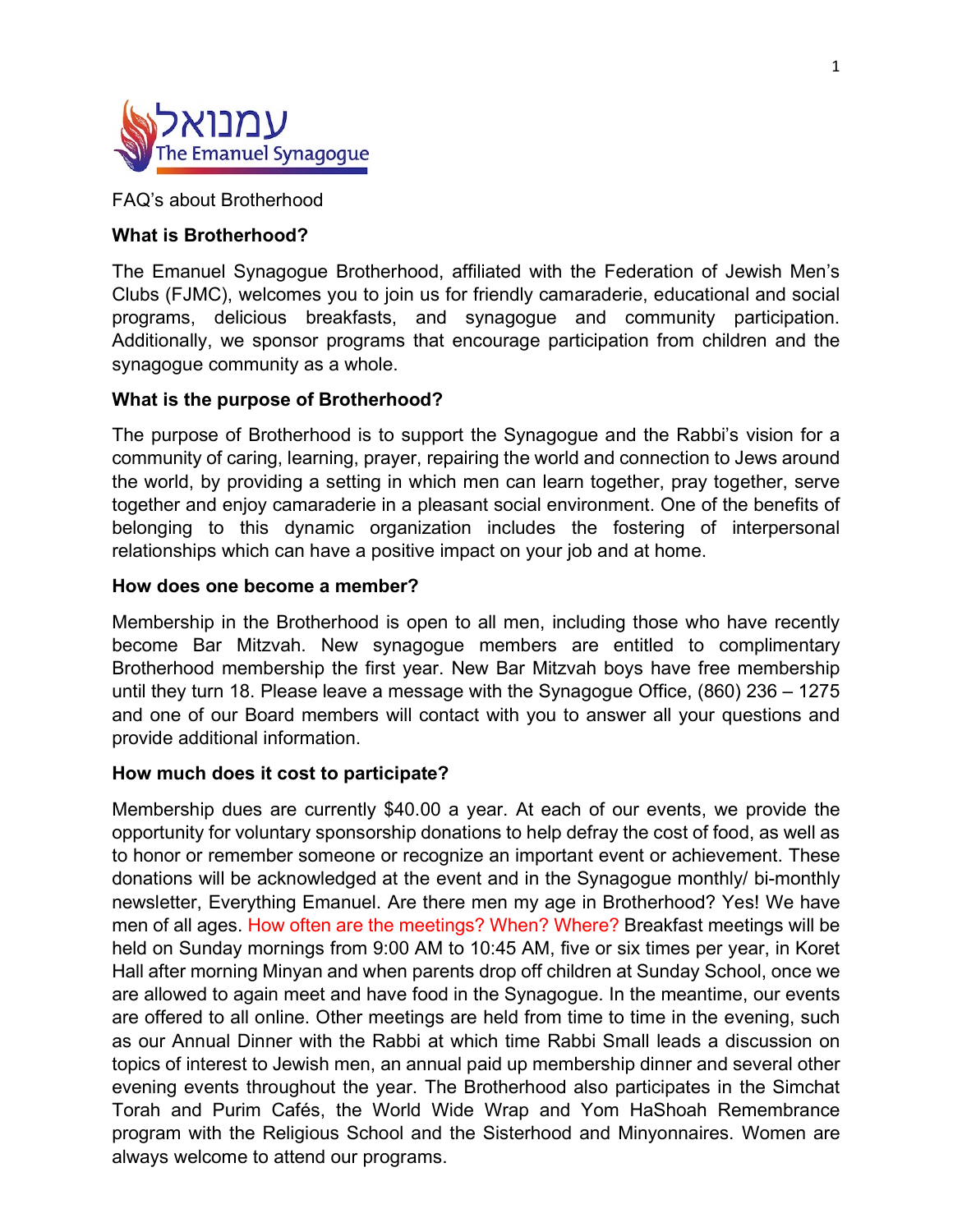

FAQ's about Brotherhood

# **What is Brotherhood?**

The Emanuel Synagogue Brotherhood, affiliated with the Federation of Jewish Men's Clubs (FJMC), welcomes you to join us for friendly camaraderie, educational and social programs, delicious breakfasts, and synagogue and community participation. Additionally, we sponsor programs that encourage participation from children and the synagogue community as a whole.

# **What is the purpose of Brotherhood?**

The purpose of Brotherhood is to support the Synagogue and the Rabbi's vision for a community of caring, learning, prayer, repairing the world and connection to Jews around the world, by providing a setting in which men can learn together, pray together, serve together and enjoy camaraderie in a pleasant social environment. One of the benefits of belonging to this dynamic organization includes the fostering of interpersonal relationships which can have a positive impact on your job and at home.

### **How does one become a member?**

Membership in the Brotherhood is open to all men, including those who have recently become Bar Mitzvah. New synagogue members are entitled to complimentary Brotherhood membership the first year. New Bar Mitzvah boys have free membership until they turn 18. Please leave a message with the Synagogue Office, (860) 236 – 1275 and one of our Board members will contact with you to answer all your questions and provide additional information.

### **How much does it cost to participate?**

Membership dues are currently \$40.00 a year. At each of our events, we provide the opportunity for voluntary sponsorship donations to help defray the cost of food, as well as to honor or remember someone or recognize an important event or achievement. These donations will be acknowledged at the event and in the Synagogue monthly/ bi-monthly newsletter, Everything Emanuel. Are there men my age in Brotherhood? Yes! We have men of all ages. How often are the meetings? When? Where? Breakfast meetings will be held on Sunday mornings from 9:00 AM to 10:45 AM, five or six times per year, in Koret Hall after morning Minyan and when parents drop off children at Sunday School, once we are allowed to again meet and have food in the Synagogue. In the meantime, our events are offered to all online. Other meetings are held from time to time in the evening, such as our Annual Dinner with the Rabbi at which time Rabbi Small leads a discussion on topics of interest to Jewish men, an annual paid up membership dinner and several other evening events throughout the year. The Brotherhood also participates in the Simchat Torah and Purim Cafés, the World Wide Wrap and Yom HaShoah Remembrance program with the Religious School and the Sisterhood and Minyonnaires. Women are always welcome to attend our programs.